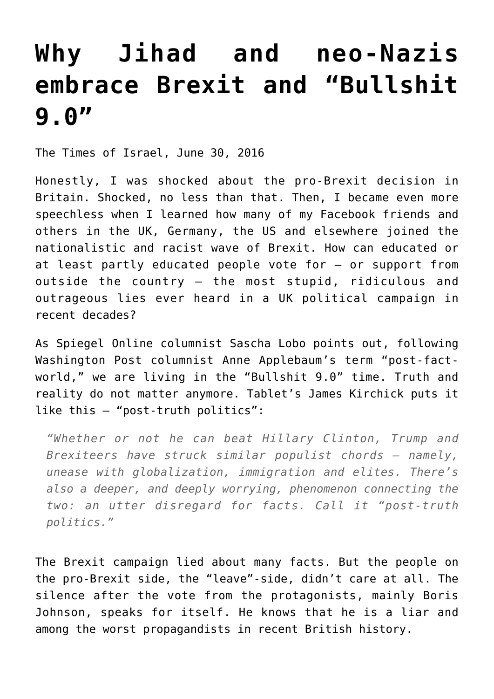## **[Why Jihad and neo-Nazis](https://www.clemensheni.net/why-jihad-and-neo-nazis-embrace-brexit/) [embrace Brexit and "Bullshit](https://www.clemensheni.net/why-jihad-and-neo-nazis-embrace-brexit/) [9.0"](https://www.clemensheni.net/why-jihad-and-neo-nazis-embrace-brexit/)**

[The Times of Israel,](http://blogs.timesofisrael.com/why-jihad-and-neo-nazis-embrace-brexit-and-bullshit-9-0/#) June 30, 2016

Honestly, I was shocked about the pro-Brexit decision in Britain. Shocked, no less than that. Then, I became even more speechless when I learned how many of my Facebook friends and others in the UK, Germany, the US and elsewhere joined the nationalistic and racist wave of Brexit. How can educated or at least partly educated people vote for – or support from outside the country – the most stupid, ridiculous and outrageous lies ever heard in a UK political campaign in recent decades?

As Spiegel Online columnist [Sascha Lobo](http://www.spiegel.de/netzwelt/web/bullshit-9-0-wut-sticht-wahrheit-kolumne-a-1100410.html) points out, following Washington Post columnist [Anne Applebaum'](https://www.washingtonpost.com/opinions/fact-checking-in-a-post-fact-world/2016/05/19/d37434e2-1d0f-11e6-8c7b-6931e66333e7_story.html)s term "post-factworld," we are living in the "Bullshit 9.0" time. Truth and reality do not matter anymore. Tablet's [James Kirchick](http://www.latimes.com/opinion/op-ed/la-oe-kirchick-brexit-trump-20160629-snap-story.html) puts it like this – "post-truth politics":

*"Whether or not he can beat Hillary Clinton, Trump and Brexiteers have struck similar populist chords – namely, unease with globalization, immigration and elites. There's also a deeper, and deeply worrying, phenomenon connecting the two: an utter disregard for facts. Call it "post-truth politics."*

The Brexit campaign lied about many facts. But the people on the pro-Brexit side, the "leave"-side, didn't care at all. The silence after the vote from the protagonists, mainly Boris Johnson, speaks for itself. He knows that he is a liar and among the worst propagandists in recent British history.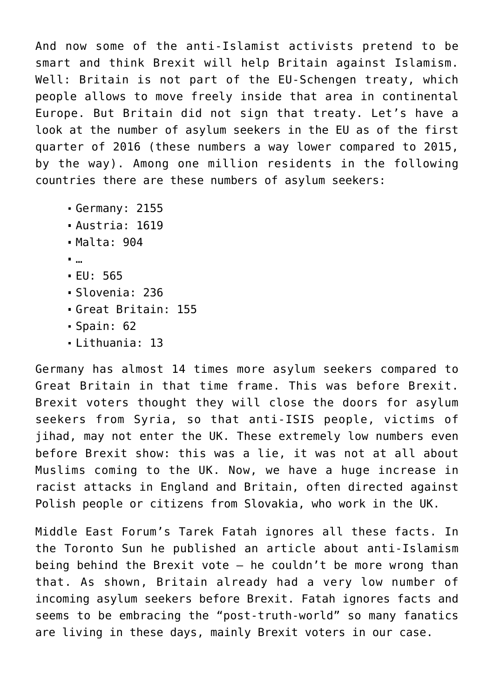And now some of the anti-Islamist activists pretend to be smart and think Brexit will help Britain against Islamism. Well: Britain is not part of the EU-Schengen treaty, which people allows to move freely inside that area in continental Europe. But Britain did not sign that treaty. Let's have a look at the number of asylum seekers in the EU as of the [first](http://www.spiegel.de/politik/ausland/fluechtlinge-zahl-der-asylbewerber-in-der-eu-deutlich-gesunken-a-1097984.html) [quarter of 2016](http://www.spiegel.de/politik/ausland/fluechtlinge-zahl-der-asylbewerber-in-der-eu-deutlich-gesunken-a-1097984.html) (these numbers a way lower compared to 2015, by the way). [Among one million residents in the following](http://de.statista.com/statistik/daten/studie/156549/umfrage/asylbewerber-in-europa-2010/) [countries there are these numbers of asylum seekers:](http://de.statista.com/statistik/daten/studie/156549/umfrage/asylbewerber-in-europa-2010/)

- Germany: 2155
- Austria: 1619
- Malta: 904
- …
- EU: 565
- Slovenia: 236
- Great Britain: 155
- $-Spain: 62$
- Lithuania: 13

Germany has almost 14 times more asylum seekers compared to Great Britain in that time frame. This was before Brexit. Brexit voters thought they will close the doors for asylum seekers from Syria, so that anti-ISIS people, victims of iihad, may not enter the UK. These extremely low numbers even before Brexit show: this was a lie, it was not at all about Muslims coming to the UK. Now, we have a huge increase in racist attacks in England and Britain, often directed against Polish people or citizens from Slovakia, who work in the UK.

Middle East Forum's [Tarek Fatah](http://www.meforum.org/6096/brexit-radical-islam) ignores all these facts. In the Toronto Sun he published an article about anti-Islamism being behind the Brexit vote  $-$  he couldn't be more wrong than that. As shown, Britain already had a very low number of incoming asylum seekers before Brexit. Fatah ignores facts and seems to be embracing the "post-truth-world" so many fanatics are living in these days, mainly Brexit voters in our case.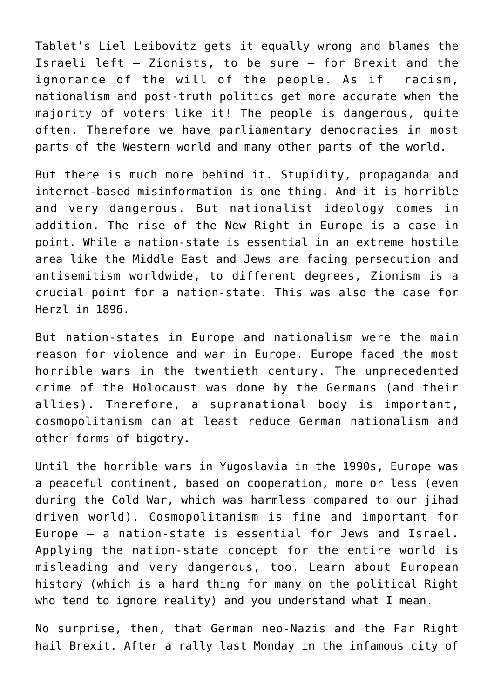[Tablet's Liel Leibovitz gets it equally wrong](http://www.tabletmag.com/jewish-news-and-politics/206425/brexit-and-the-israeli-left) and blames the Israeli left – Zionists, to be sure – for Brexit and the ignorance of the will of the people. As if racism, nationalism and post-truth politics get more accurate when the majority of voters like it! The people is dangerous, quite often. Therefore we have parliamentary democracies in most parts of the Western world and many other parts of the world.

But there is much more behind it. Stupidity, propaganda and internet-based misinformation is one thing. And it is horrible and very dangerous. But nationalist ideology comes in addition. The rise of the New Right in Europe is a case in point. While a nation-state is essential in an extreme hostile area like the Middle East and Jews are facing persecution and antisemitism worldwide, to different degrees, Zionism is a crucial point for a nation-state. This was also the case for Herzl in 1896.

But nation-states in Europe and nationalism were the main reason for violence and war in Europe. Europe faced the most horrible wars in the twentieth century. The unprecedented crime of the Holocaust was done by the Germans (and their allies). Therefore, a supranational body is important, cosmopolitanism can at least reduce German nationalism and other forms of bigotry.

Until the horrible wars in Yugoslavia in the 1990s, Europe was a peaceful continent, based on cooperation, more or less (even during the Cold War, which was harmless compared to our jihad driven world). Cosmopolitanism is fine and important for Europe – a nation-state is essential for Jews and Israel. Applying the nation-state concept for the entire world is misleading and very dangerous, too. Learn about European history (which is a hard thing for many on the political Right who tend to ignore reality) and you understand what I mean.

No surprise, then, that German neo-Nazis and the Far Right hail Brexit. After a rally last Monday in the infamous city of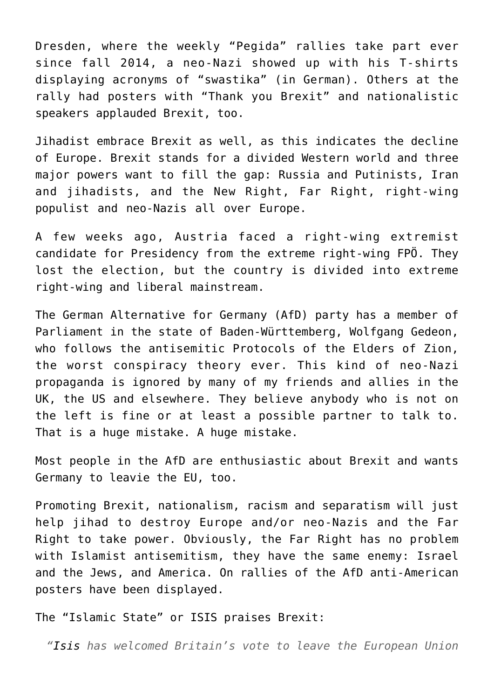Dresden, where the weekly "Pegida" rallies take part ever since fall 2014, a neo-Nazi showed up with his T-shirts displaying [acronyms of "swastika" \(in German\).](http://www.tagesspiegel.de/politik/rechtsextremismus-hakenkreuz-in-sechs-buchstaben-verboten-oder-nicht/13799410.html) Others at the rally had posters with "Thank you Brexit" and nationalistic speakers applauded Brexit, too.

Jihadist embrace Brexit as well, as this indicates the decline of Europe. Brexit stands for a divided Western world and three major powers want to fill the gap: Russia and Putinists, Iran and jihadists, and the New Right, Far Right, right-wing populist and neo-Nazis all over Europe.

A few weeks ago, Austria faced a right-wing extremist candidate for Presidency from the extreme right-wing FPÖ. They lost the election, but the country is divided into extreme right-wing and liberal mainstream.

The German Alternative for Germany (AfD) party has a member of Parliament in the state of Baden-Württemberg, Wolfgang Gedeon, who follows the antisemitic Protocols of the Elders of Zion, the worst conspiracy theory ever. This kind of neo-Nazi propaganda is ignored by many of my friends and allies in the UK, the US and elsewhere. They believe anybody who is not on the left is fine or at least a possible partner to talk to. That is a huge mistake. A huge mistake.

Most people in the [AfD are enthusiastic about Brexit](http://www.handelsblatt.com/politik/international/brexit-referendum/brexit-news/alternative-fuer-deutschland-brexit-chaos-in-der-afd/13792100.html) and wants Germany to leavie the EU, too.

Promoting Brexit, nationalism, racism and separatism will just help jihad to destroy Europe and/or neo-Nazis and the Far Right to take power. Obviously, the Far Right has no problem with Islamist antisemitism, they have the same enemy: Israel and the Jews, and America. On rallies of the AfD anti-American posters have been displayed.

[The "Islamic State" or ISIS praises Brexit:](http://www.independent.co.uk/news/uk/politics/isis-brexit-news-eu-referendum-result-praises-response-islamic-state-daesh-political-crisis-crusader-a7109781.html)

*["Isis h](http://www.independent.co.uk/topic/isis)as welcomed Britain's vote to leave the European Union*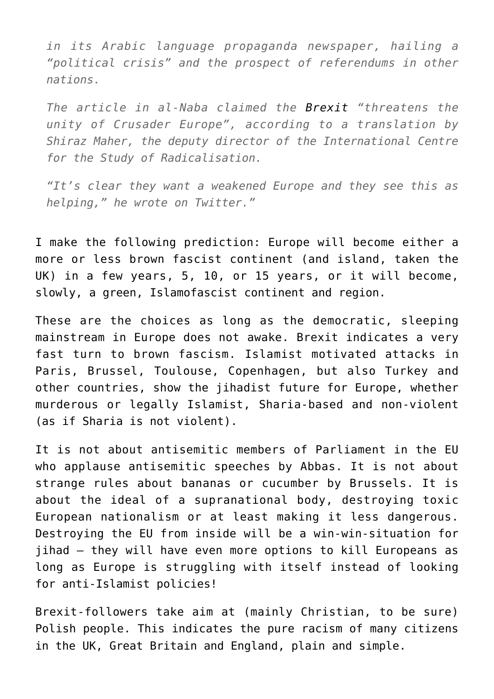*in its Arabic language propaganda newspaper, hailing a "political crisis" and the prospect of referendums in other nations.*

*The article in al-Naba claimed the [Brexit "](http://www.independent.co.uk/topic/brexit)threatens the unity of Crusader Europe", according to a translation by Shiraz Maher, the deputy director of the International Centre for the Study of Radicalisation.*

*"It's clear they want a weakened Europe and they see this as helping," he wrote on Twitter."*

I make the following prediction: Europe will become either a more or less brown fascist continent (and island, taken the UK) in a few years, 5, 10, or 15 years, or it will become, slowly, a green, Islamofascist continent and region.

These are the choices as long as the democratic, sleeping mainstream in Europe does not awake. Brexit indicates a very fast turn to brown fascism. Islamist motivated attacks in Paris, Brussel, Toulouse, Copenhagen, but also Turkey and other countries, show the jihadist future for Europe, whether murderous or legally Islamist, Sharia-based and non-violent (as if Sharia is not violent).

It is not about antisemitic members of Parliament in the EU who applause antisemitic speeches by Abbas. It is not about strange rules about bananas or cucumber by Brussels. It is about the ideal of a supranational body, destroying toxic European nationalism or at least making it less dangerous. Destroying the EU from inside will be a win-win-situation for jihad – they will have even more options to kill Europeans as long as Europe is struggling with itself instead of looking for anti-Islamist policies!

Brexit-followers take aim at (mainly Christian, to be sure) Polish people. This indicates the pure racism of many citizens in the UK, Great Britain and England, plain and simple.